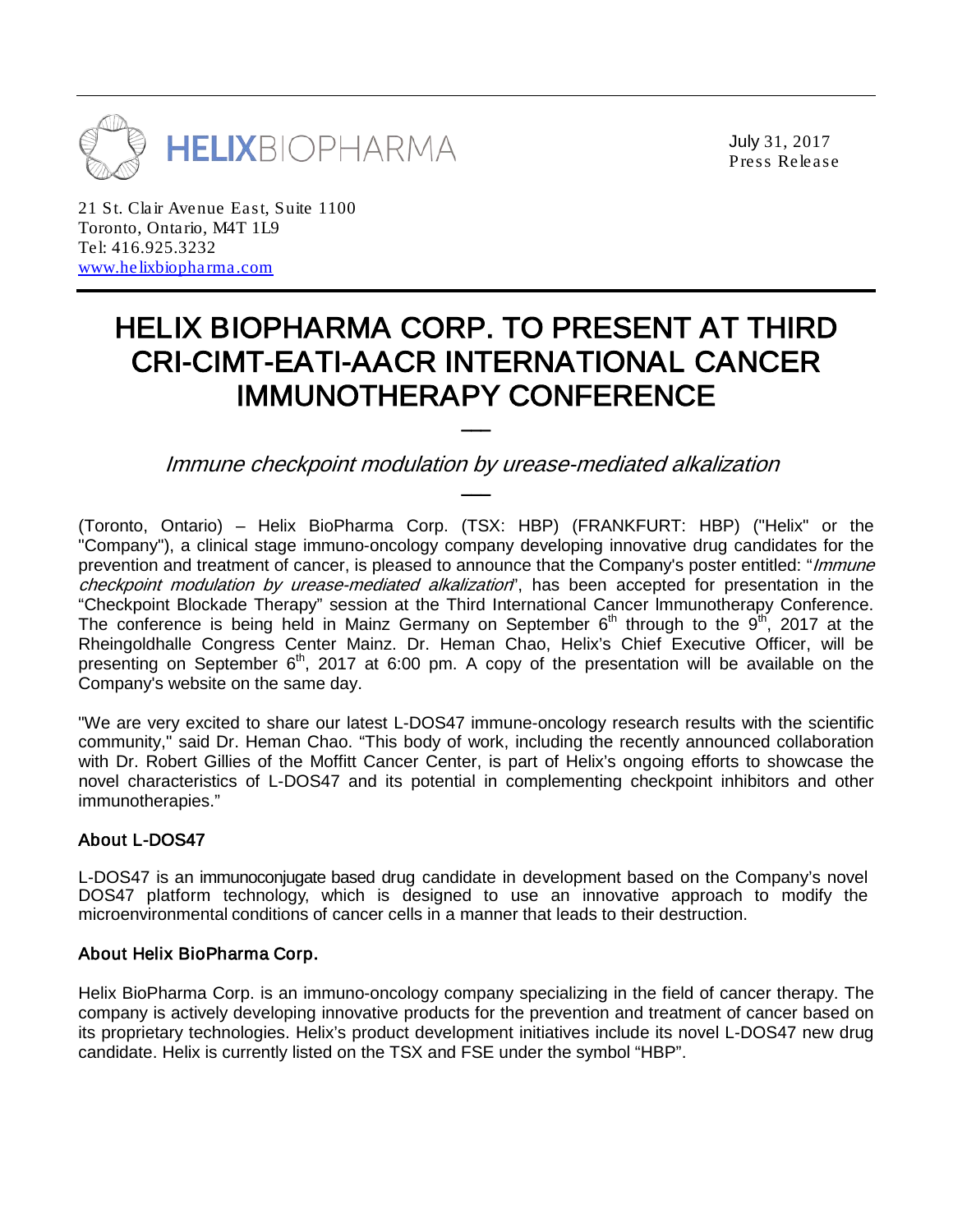

July 31, 2017 Press Release

21 St. Clair Avenue East, Suite 1100 Toronto, Ontario, M4T 1L9 Tel: 416.925.3232 [www.helixbiopharma.com](http://www.helixbiopharma.com/)

# HELIX BIOPHARMA CORP. TO PRESENT AT THIRD CRI-CIMT-EATI-AACR INTERNATIONAL CANCER IMMUNOTHERAPY CONFERENCE

Immune checkpoint modulation by urease-mediated alkalization \_\_\_

(Toronto, Ontario) – Helix BioPharma Corp. (TSX: HBP) (FRANKFURT: HBP) ("Helix" or the "Company"), a clinical stage immuno-oncology company developing innovative drug candidates for the prevention and treatment of cancer, is pleased to announce that the Company's poster entitled: "Immune checkpoint modulation by urease-mediated alkalization", has been accepted for presentation in the "Checkpoint Blockade Therapy" session at the Third International Cancer lmmunotherapy Conference. The conference is being held in Mainz Germany on September  $6<sup>th</sup>$  through to the  $9<sup>th</sup>$ , 2017 at the Rheingoldhalle Congress Center Mainz. Dr. Heman Chao, Helix's Chief Executive Officer, will be presenting on September  $6<sup>th</sup>$ , 2017 at 6:00 pm. A copy of the presentation will be available on the Company's website on the same day.

"We are very excited to share our latest L-DOS47 immune-oncology research results with the scientific community," said Dr. Heman Chao. "This body of work, including the recently announced collaboration with Dr. Robert Gillies of the Moffitt Cancer Center, is part of Helix's ongoing efforts to showcase the novel characteristics of L-DOS47 and its potential in complementing checkpoint inhibitors and other immunotherapies."

## About L-DOS47

L-DOS47 is an immunoconjugate based drug candidate in development based on the Company's novel DOS47 platform technology, which is designed to use an innovative approach to modify the microenvironmental conditions of cancer cells in a manner that leads to their destruction.

## About Helix BioPharma Corp.

Helix BioPharma Corp. is an immuno-oncology company specializing in the field of cancer therapy. The company is actively developing innovative products for the prevention and treatment of cancer based on its proprietary technologies. Helix's product development initiatives include its novel L-DOS47 new drug candidate. Helix is currently listed on the TSX and FSE under the symbol "HBP".